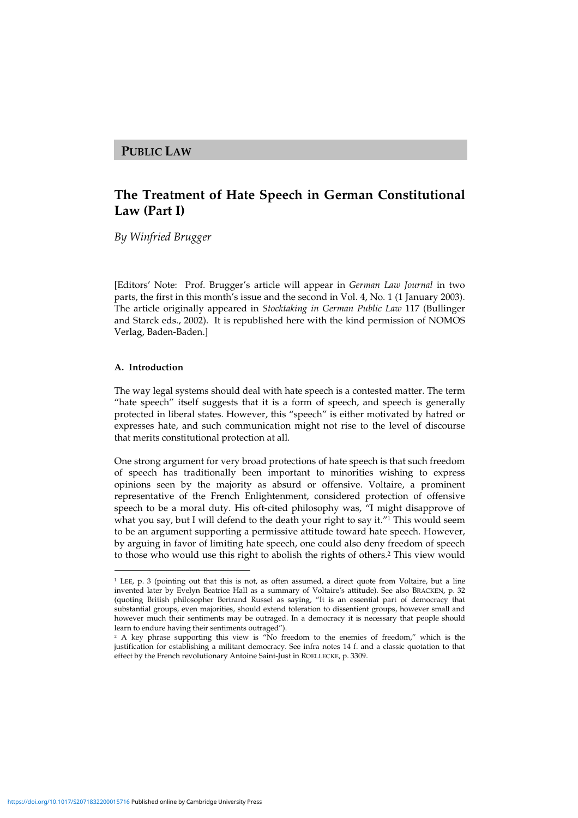## **PUBLIC LAW**

# **The Treatment of Hate Speech in German Constitutional Law (Part I)**

*By Winfried Brugger*

[Editors' Note: Prof. Brugger's article will appear in *German Law Journal* in two parts, the first in this month's issue and the second in Vol. 4, No. 1 (1 January 2003). The article originally appeared in *Stocktaking in German Public Law* 117 (Bullinger and Starck eds., 2002). It is republished here with the kind permission of NOMOS Verlag, Baden-Baden.]

#### **A. Introduction**

The way legal systems should deal with hate speech is a contested matter. The term "hate speech" itself suggests that it is a form of speech, and speech is generally protected in liberal states. However, this "speech" is either motivated by hatred or expresses hate, and such communication might not rise to the level of discourse that merits constitutional protection at all.

One strong argument for very broad protections of hate speech is that such freedom of speech has traditionally been important to minorities wishing to express opinions seen by the majority as absurd or offensive. Voltaire, a prominent representative of the French Enlightenment, considered protection of offensive speech to be a moral duty. His oft-cited philosophy was, "I might disapprove of what you say, but I will defend to the death your right to say it." <sup>1</sup> This would seem to be an argument supporting a permissive attitude toward hate speech. However, by arguing in favor of limiting hate speech, one could also deny freedom of speech to those who would use this right to abolish the rights of others. <sup>2</sup> This view would

<sup>1</sup> LEE, p. 3 (pointing out that this is not, as often assumed, a direct quote from Voltaire, but a line invented later by Evelyn Beatrice Hall as a summary of Voltaire's attitude). See also BRACKEN, p. 32 (quoting British philosopher Bertrand Russel as saying, "It is an essential part of democracy that substantial groups, even majorities, should extend toleration to dissentient groups, however small and however much their sentiments may be outraged. In a democracy it is necessary that people should learn to endure having their sentiments outraged").

<sup>&</sup>lt;sup>2</sup> A key phrase supporting this view is "No freedom to the enemies of freedom," which is the justification for establishing a militant democracy. See infra notes 14 f. and a classic quotation to that effect by the French revolutionary Antoine Saint-Just in ROELLECKE, p. 3309.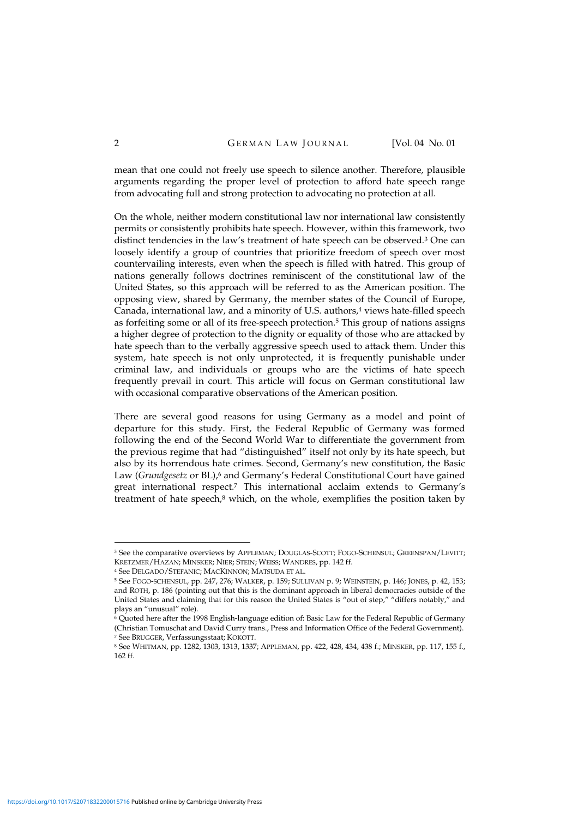mean that one could not freely use speech to silence another. Therefore, plausible arguments regarding the proper level of protection to afford hate speech range from advocating full and strong protection to advocating no protection at all.

On the whole, neither modern constitutional law nor international law consistently permits or consistently prohibits hate speech. However, within this framework, two distinct tendencies in the law's treatment of hate speech can be observed. <sup>3</sup> One can loosely identify a group of countries that prioritize freedom of speech over most countervailing interests, even when the speech is filled with hatred. This group of nations generally follows doctrines reminiscent of the constitutional law of the United States, so this approach will be referred to as the American position. The opposing view, shared by Germany, the member states of the Council of Europe, Canada, international law, and a minority of U.S. authors, <sup>4</sup> views hate-filled speech as forfeiting some or all of its free-speech protection. <sup>5</sup> This group of nations assigns a higher degree of protection to the dignity or equality of those who are attacked by hate speech than to the verbally aggressive speech used to attack them. Under this system, hate speech is not only unprotected, it is frequently punishable under criminal law, and individuals or groups who are the victims of hate speech frequently prevail in court. This article will focus on German constitutional law with occasional comparative observations of the American position.

There are several good reasons for using Germany as a model and point of departure for this study. First, the Federal Republic of Germany was formed following the end of the Second World War to differentiate the government from the previous regime that had "distinguished" itself not only by its hate speech, but also by its horrendous hate crimes. Second, Germany's new constitution, the Basic Law (*Grundgesetz* or BL), <sup>6</sup> and Germany's Federal Constitutional Court have gained great international respect. <sup>7</sup> This international acclaim extends to Germany's treatment of hate speech,<sup>8</sup> which, on the whole, exemplifies the position taken by

<sup>3</sup> See the comparative overviews by APPLEMAN; DOUGLAS-SCOTT; FOGO-SCHENSUL; GREENSPAN/LEVITT; KRETZMER/HAZAN; MINSKER; NIER; STEIN; WEISS; WANDRES, pp. 142 ff.

<sup>4</sup> See DELGADO/STEFANIC; MACKINNON; MATSUDA ET AL.

<sup>5</sup> See FOGO-SCHENSUL, pp. 247, 276; WALKER, p. 159; SULLIVAN p. 9; WEINSTEIN, p. 146; JONES, p. 42, 153; and ROTH, p. 186 (pointing out that this is the dominant approach in liberal democracies outside of the United States and claiming that for this reason the United States is "out of step," "differs notably," and plays an "unusual" role).

<sup>6</sup> Quoted here after the 1998 English-language edition of: Basic Law for the Federal Republic of Germany (Christian Tomuschat and David Curry trans., Press and Information Office of the Federal Government). <sup>7</sup> See BRUGGER, Verfassungsstaat; KOKOTT.

<sup>8</sup> See WHITMAN, pp. 1282, 1303, 1313, 1337; APPLEMAN, pp. 422, 428, 434, 438 f.; MINSKER, pp. 117, 155 f., 162 ff.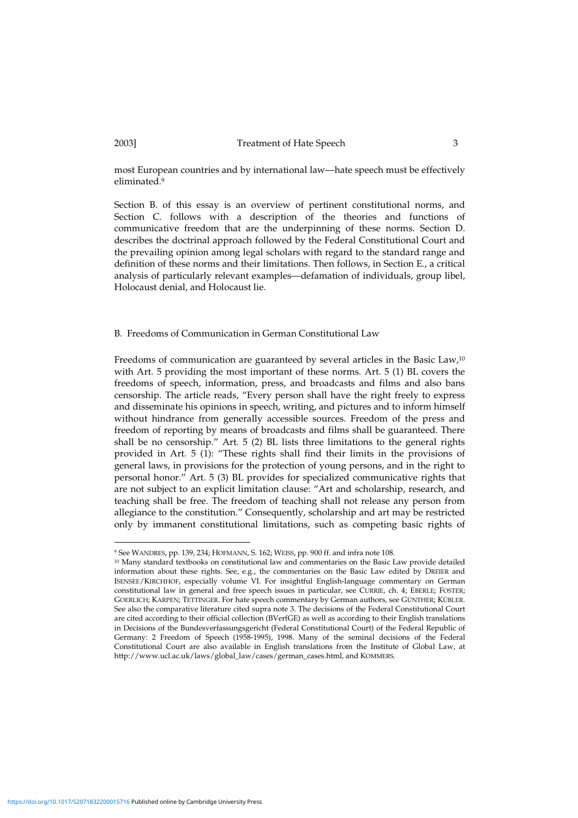most European countries and by international law—hate speech must be effectively eliminated. 9

Section B. of this essay is an overview of pertinent constitutional norms, and Section C. follows with a description of the theories and functions of communicative freedom that are the underpinning of these norms. Section D. describes the doctrinal approach followed by the Federal Constitutional Court and the prevailing opinion among legal scholars with regard to the standard range and definition of these norms and their limitations. Then follows, in Section E., a critical analysis of particularly relevant examples—defamation of individuals, group libel, Holocaust denial, and Holocaust lie.

#### B. Freedoms of Communication in German Constitutional Law

Freedoms of communication are guaranteed by several articles in the Basic Law, 10 with Art. 5 providing the most important of these norms. Art. 5 (1) BL covers the freedoms of speech, information, press, and broadcasts and films and also bans censorship. The article reads, "Every person shall have the right freely to express and disseminate his opinions in speech, writing, and pictures and to inform himself without hindrance from generally accessible sources. Freedom of the press and freedom of reporting by means of broadcasts and films shall be guaranteed. There shall be no censorship." Art. 5 (2) BL lists three limitations to the general rights provided in Art. 5 (1): "These rights shall find their limits in the provisions of general laws, in provisions for the protection of young persons, and in the right to personal honor." Art. 5 (3) BL provides for specialized communicative rights that are not subject to an explicit limitation clause: "Art and scholarship, research, and teaching shall be free. The freedom of teaching shall not release any person from allegiance to the constitution." Consequently, scholarship and art may be restricted only by immanent constitutional limitations, such as competing basic rights of

<sup>9</sup> See WANDRES, pp. 139, 234; HOFMANN, S. 162; WEISS, pp. 900 ff. and infra note 108.

<sup>10</sup> Many standard textbooks on constitutional law and commentaries on the Basic Law provide detailed information about these rights. See, e.g., the commentaries on the Basic Law edited by DREIER and ISENSEE/KIRCHHOF, especially volume VI. For insightful English-language commentary on German constitutional law in general and free speech issues in particular, see CURRIE, ch. 4; EBERLE; FOSTER; GOERLICH; KARPEN; TETTINGER. For hate speech commentary by German authors, see GÜNTHER; KÜBLER. See also the comparative literature cited supra note 3. The decisions of the Federal Constitutional Court are cited according to their official collection (BVerfGE) as well as according to their English translations in Decisions of the Bundesverfassungsgericht (Federal Constitutional Court) of the Federal Republic of Germany: 2 Freedom of Speech (1958-1995), 1998. Many of the seminal decisions of the Federal Constitutional Court are also available in English translations from the Institute of Global Law, at http://www.ucl.ac.uk/laws/global\_law/cases/german\_cases.html, and KOMMERS.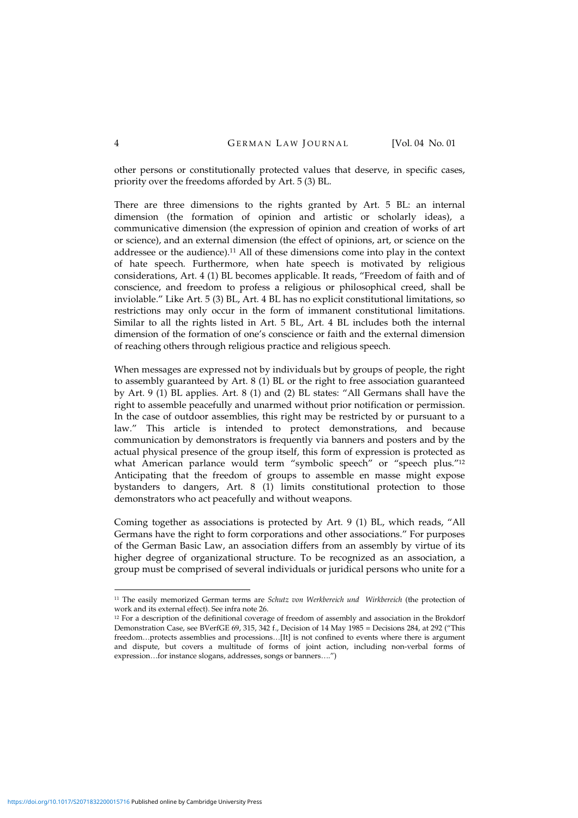other persons or constitutionally protected values that deserve, in specific cases, priority over the freedoms afforded by Art. 5 (3) BL.

There are three dimensions to the rights granted by Art. 5 BL: an internal dimension (the formation of opinion and artistic or scholarly ideas), a communicative dimension (the expression of opinion and creation of works of art or science), and an external dimension (the effect of opinions, art, or science on the addressee or the audience). <sup>11</sup> All of these dimensions come into play in the context of hate speech. Furthermore, when hate speech is motivated by religious considerations, Art. 4 (1) BL becomes applicable. It reads, "Freedom of faith and of conscience, and freedom to profess a religious or philosophical creed, shall be inviolable." Like Art. 5 (3) BL, Art. 4 BL has no explicit constitutional limitations, so restrictions may only occur in the form of immanent constitutional limitations. Similar to all the rights listed in Art. 5 BL, Art. 4 BL includes both the internal dimension of the formation of one's conscience or faith and the external dimension of reaching others through religious practice and religious speech.

When messages are expressed not by individuals but by groups of people, the right to assembly guaranteed by Art. 8 (1) BL or the right to free association guaranteed by Art. 9 (1) BL applies. Art. 8 (1) and (2) BL states: "All Germans shall have the right to assemble peacefully and unarmed without prior notification or permission. In the case of outdoor assemblies, this right may be restricted by or pursuant to a law." This article is intended to protect demonstrations, and because communication by demonstrators is frequently via banners and posters and by the actual physical presence of the group itself, this form of expression is protected as what American parlance would term "symbolic speech" or "speech plus."<sup>12</sup> Anticipating that the freedom of groups to assemble en masse might expose bystanders to dangers, Art. 8 (1) limits constitutional protection to those demonstrators who act peacefully and without weapons.

Coming together as associations is protected by Art. 9 (1) BL, which reads, "All Germans have the right to form corporations and other associations." For purposes of the German Basic Law, an association differs from an assembly by virtue of its higher degree of organizational structure. To be recognized as an association, a group must be comprised of several individuals or juridical persons who unite for a

<sup>11</sup> The easily memorized German terms are *Schutz von Werkbereich und Wirkbereich* (the protection of work and its external effect). See infra note 26.

<sup>&</sup>lt;sup>12</sup> For a description of the definitional coverage of freedom of assembly and association in the Brokdorf Demonstration Case, see BVerfGE 69, 315, 342 f., Decision of 14 May 1985 = Decisions 284, at 292 ("This freedom…protects assemblies and processions…[It] is not confined to events where there is argument and dispute, but covers a multitude of forms of joint action, including non-verbal forms of expression…for instance slogans, addresses, songs or banners….")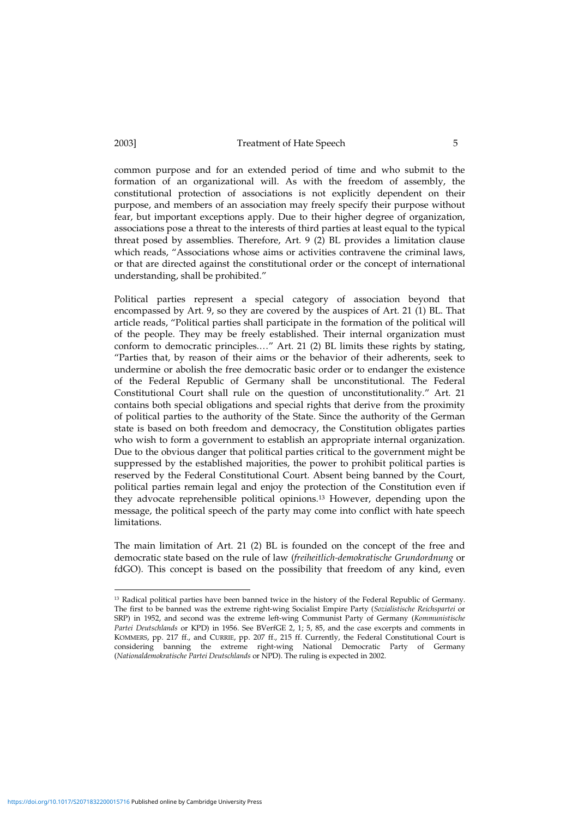common purpose and for an extended period of time and who submit to the formation of an organizational will. As with the freedom of assembly, the constitutional protection of associations is not explicitly dependent on their purpose, and members of an association may freely specify their purpose without fear, but important exceptions apply. Due to their higher degree of organization, associations pose a threat to the interests of third parties at least equal to the typical threat posed by assemblies. Therefore, Art. 9 (2) BL provides a limitation clause which reads, "Associations whose aims or activities contravene the criminal laws, or that are directed against the constitutional order or the concept of international understanding, shall be prohibited."

Political parties represent a special category of association beyond that encompassed by Art. 9, so they are covered by the auspices of Art. 21 (1) BL. That article reads, "Political parties shall participate in the formation of the political will of the people. They may be freely established. Their internal organization must conform to democratic principles.…" Art. 21 (2) BL limits these rights by stating, "Parties that, by reason of their aims or the behavior of their adherents, seek to undermine or abolish the free democratic basic order or to endanger the existence of the Federal Republic of Germany shall be unconstitutional. The Federal Constitutional Court shall rule on the question of unconstitutionality." Art. 21 contains both special obligations and special rights that derive from the proximity of political parties to the authority of the State. Since the authority of the German state is based on both freedom and democracy, the Constitution obligates parties who wish to form a government to establish an appropriate internal organization. Due to the obvious danger that political parties critical to the government might be suppressed by the established majorities, the power to prohibit political parties is reserved by the Federal Constitutional Court. Absent being banned by the Court, political parties remain legal and enjoy the protection of the Constitution even if they advocate reprehensible political opinions. <sup>13</sup> However, depending upon the message, the political speech of the party may come into conflict with hate speech limitations.

The main limitation of Art. 21 (2) BL is founded on the concept of the free and democratic state based on the rule of law (*freiheitlich-demokratische Grundordnung* or fdGO). This concept is based on the possibility that freedom of any kind, even

<https://doi.org/10.1017/S2071832200015716>Published online by Cambridge University Press

<sup>&</sup>lt;sup>13</sup> Radical political parties have been banned twice in the history of the Federal Republic of Germany. The first to be banned was the extreme right-wing Socialist Empire Party (*Sozialistische Reichspartei* or SRP) in 1952, and second was the extreme left-wing Communist Party of Germany (*Kommunistische Partei Deutschlands* or KPD) in 1956. See BVerfGE 2, 1; 5, 85, and the case excerpts and comments in KOMMERS, pp. 217 ff., and CURRIE, pp. 207 ff., 215 ff. Currently, the Federal Constitutional Court is considering banning the extreme right-wing National Democratic Party of Germany (*Nationaldemokratische Partei Deutschlands* or NPD). The ruling is expected in 2002.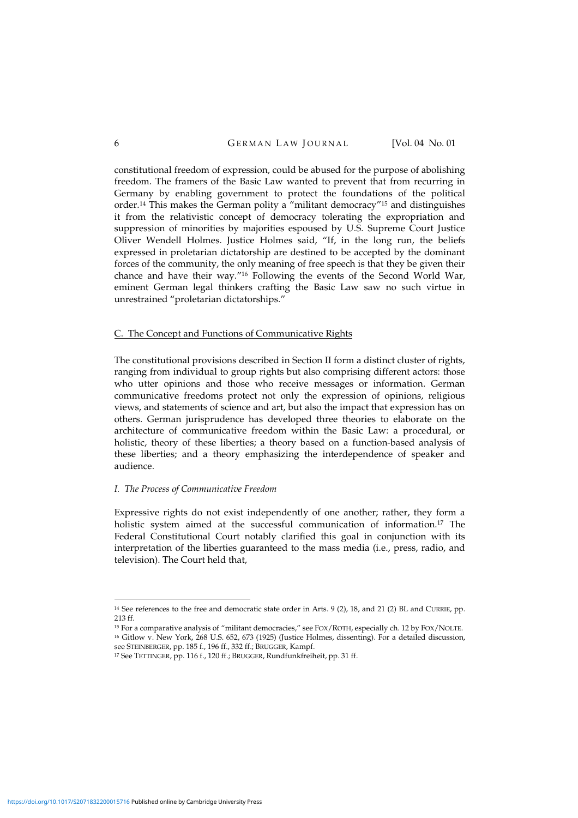constitutional freedom of expression, could be abused for the purpose of abolishing freedom. The framers of the Basic Law wanted to prevent that from recurring in Germany by enabling government to protect the foundations of the political order. <sup>14</sup> This makes the German polity a "militant democracy" <sup>15</sup> and distinguishes it from the relativistic concept of democracy tolerating the expropriation and suppression of minorities by majorities espoused by U.S. Supreme Court Justice Oliver Wendell Holmes. Justice Holmes said, "If, in the long run, the beliefs expressed in proletarian dictatorship are destined to be accepted by the dominant forces of the community, the only meaning of free speech is that they be given their chance and have their way."<sup>16</sup> Following the events of the Second World War, eminent German legal thinkers crafting the Basic Law saw no such virtue in unrestrained "proletarian dictatorships."

#### C. The Concept and Functions of Communicative Rights

The constitutional provisions described in Section II form a distinct cluster of rights, ranging from individual to group rights but also comprising different actors: those who utter opinions and those who receive messages or information. German communicative freedoms protect not only the expression of opinions, religious views, and statements of science and art, but also the impact that expression has on others. German jurisprudence has developed three theories to elaborate on the architecture of communicative freedom within the Basic Law: a procedural, or holistic, theory of these liberties; a theory based on a function-based analysis of these liberties; and a theory emphasizing the interdependence of speaker and audience.

#### *I. The Process of Communicative Freedom*

Expressive rights do not exist independently of one another; rather, they form a holistic system aimed at the successful communication of information.<sup>17</sup> The Federal Constitutional Court notably clarified this goal in conjunction with its interpretation of the liberties guaranteed to the mass media (i.e., press, radio, and television). The Court held that,

<sup>14</sup> See references to the free and democratic state order in Arts. 9 (2), 18, and 21 (2) BL and CURRIE, pp. 213 ff.

<sup>15</sup> For a comparative analysis of "militant democracies," see FOX/ROTH, especially ch. 12 by FOX/NOLTE. <sup>16</sup> Gitlow v. New York, 268 U.S. 652, 673 (1925) (Justice Holmes, dissenting). For a detailed discussion, see STEINBERGER, pp. 185 f., 196 ff., 332 ff.; BRUGGER, Kampf.

<sup>17</sup> See TETTINGER, pp. 116 f., 120 ff.; BRUGGER, Rundfunkfreiheit, pp. 31 ff.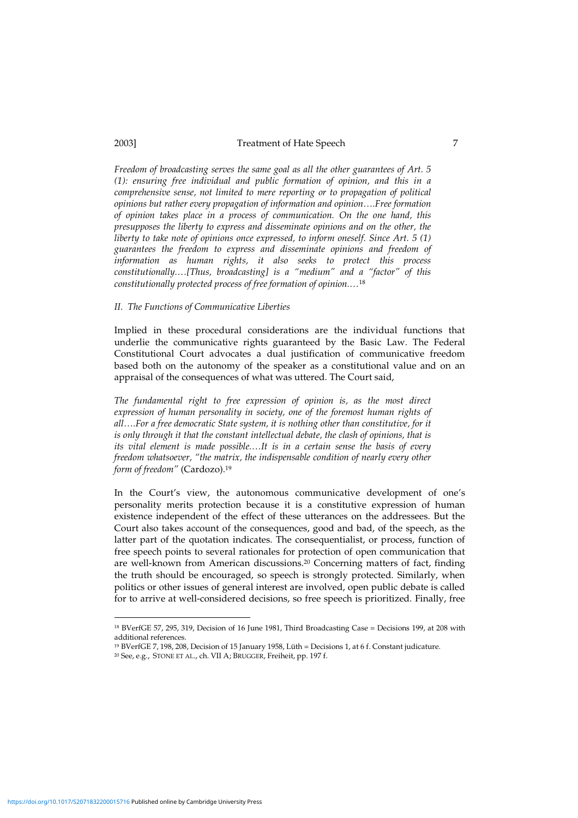*Freedom of broadcasting serves the same goal as all the other guarantees of Art. 5 (1): ensuring free individual and public formation of opinion, and this in a comprehensive sense, not limited to mere reporting or to propagation of political opinions but rather every propagation of information and opinion….Free formation of opinion takes place in a process of communication. On the one hand, this presupposes the liberty to express and disseminate opinions and on the other, the liberty to take note of opinions once expressed, to inform oneself. Since Art. 5 (1) guarantees the freedom to express and disseminate opinions and freedom of information as human rights, it also seeks to protect this process constitutionally.…[Thus, broadcasting] is a "medium" and a "factor" of this constitutionally protected process of free formation of opinion.…*<sup>18</sup>

#### *II. The Functions of Communicative Liberties*

Implied in these procedural considerations are the individual functions that underlie the communicative rights guaranteed by the Basic Law. The Federal Constitutional Court advocates a dual justification of communicative freedom based both on the autonomy of the speaker as a constitutional value and on an appraisal of the consequences of what was uttered. The Court said,

*The fundamental right to free expression of opinion is, as the most direct expression of human personality in society, one of the foremost human rights of all….For a free democratic State system, it is nothing other than constitutive, for it is only through it that the constant intellectual debate, the clash of opinions, that is its vital element is made possible.…It is in a certain sense the basis of every freedom whatsoever, "the matrix, the indispensable condition of nearly every other form of freedom"* (Cardozo). 19

In the Court's view, the autonomous communicative development of one's personality merits protection because it is a constitutive expression of human existence independent of the effect of these utterances on the addressees. But the Court also takes account of the consequences, good and bad, of the speech, as the latter part of the quotation indicates. The consequentialist, or process, function of free speech points to several rationales for protection of open communication that are well-known from American discussions. <sup>20</sup> Concerning matters of fact, finding the truth should be encouraged, so speech is strongly protected. Similarly, when politics or other issues of general interest are involved, open public debate is called for to arrive at well-considered decisions, so free speech is prioritized. Finally, free

<sup>18</sup> BVerfGE 57, 295, 319, Decision of 16 June 1981, Third Broadcasting Case = Decisions 199, at 208 with additional references.

<sup>19</sup> BVerfGE 7, 198, 208, Decision of 15 January 1958, Lüth = Decisions 1, at 6 f. Constant judicature.

<sup>20</sup> See, e.g., STONE ET AL., ch. VII A; BRUGGER, Freiheit, pp. 197 f.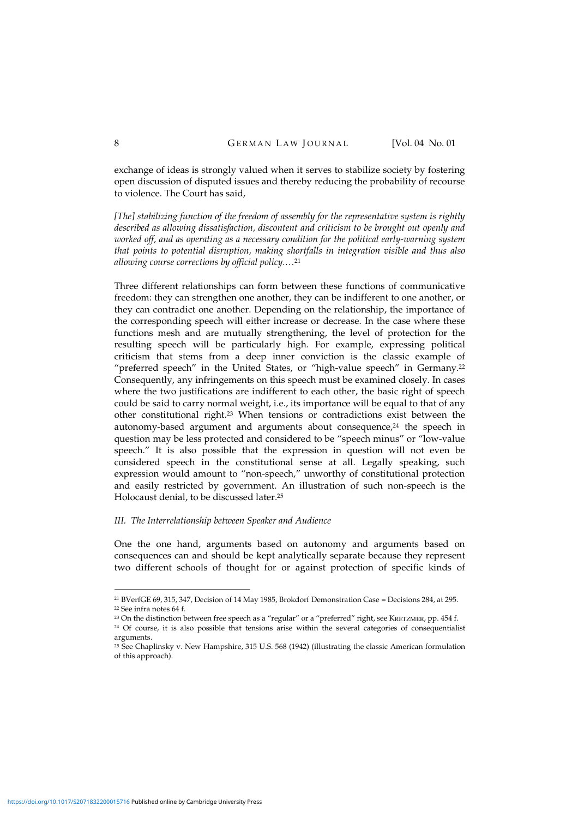exchange of ideas is strongly valued when it serves to stabilize society by fostering open discussion of disputed issues and thereby reducing the probability of recourse to violence. The Court has said,

*[The] stabilizing function of the freedom of assembly for the representative system is rightly described as allowing dissatisfaction, discontent and criticism to be brought out openly and worked off, and as operating as a necessary condition for the political early-warning system that points to potential disruption, making shortfalls in integration visible and thus also allowing course corrections by official policy.…*<sup>21</sup>

Three different relationships can form between these functions of communicative freedom: they can strengthen one another, they can be indifferent to one another, or they can contradict one another. Depending on the relationship, the importance of the corresponding speech will either increase or decrease. In the case where these functions mesh and are mutually strengthening, the level of protection for the resulting speech will be particularly high. For example, expressing political criticism that stems from a deep inner conviction is the classic example of "preferred speech" in the United States, or "high-value speech" in Germany. 22 Consequently, any infringements on this speech must be examined closely. In cases where the two justifications are indifferent to each other, the basic right of speech could be said to carry normal weight, i.e., its importance will be equal to that of any other constitutional right. <sup>23</sup> When tensions or contradictions exist between the autonomy-based argument and arguments about consequence, 24 the speech in question may be less protected and considered to be "speech minus" or "low-value speech." It is also possible that the expression in question will not even be considered speech in the constitutional sense at all. Legally speaking, such expression would amount to "non-speech," unworthy of constitutional protection and easily restricted by government. An illustration of such non-speech is the Holocaust denial, to be discussed later. 25

### *III. The Interrelationship between Speaker and Audience*

One the one hand, arguments based on autonomy and arguments based on consequences can and should be kept analytically separate because they represent two different schools of thought for or against protection of specific kinds of

<sup>21</sup> BVerfGE 69, 315, 347, Decision of 14 May 1985, Brokdorf Demonstration Case = Decisions 284, at 295. <sup>22</sup> See infra notes 64 f.

<sup>&</sup>lt;sup>23</sup> On the distinction between free speech as a "regular" or a "preferred" right, see KRETZMER, pp. 454 f.

<sup>&</sup>lt;sup>24</sup> Of course, it is also possible that tensions arise within the several categories of consequentialist arguments.

<sup>25</sup> See Chaplinsky v. New Hampshire, 315 U.S. 568 (1942) (illustrating the classic American formulation of this approach).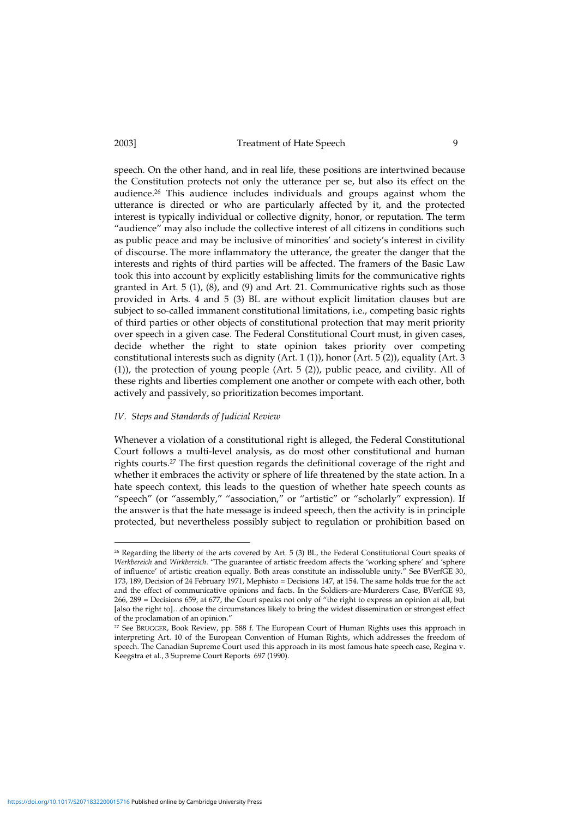speech. On the other hand, and in real life, these positions are intertwined because the Constitution protects not only the utterance per se, but also its effect on the audience. <sup>26</sup> This audience includes individuals and groups against whom the utterance is directed or who are particularly affected by it, and the protected interest is typically individual or collective dignity, honor, or reputation. The term "audience" may also include the collective interest of all citizens in conditions such as public peace and may be inclusive of minorities' and society's interest in civility of discourse. The more inflammatory the utterance, the greater the danger that the interests and rights of third parties will be affected. The framers of the Basic Law took this into account by explicitly establishing limits for the communicative rights granted in Art. 5 (1), (8), and (9) and Art. 21. Communicative rights such as those provided in Arts. 4 and 5 (3) BL are without explicit limitation clauses but are subject to so-called immanent constitutional limitations, i.e., competing basic rights of third parties or other objects of constitutional protection that may merit priority over speech in a given case. The Federal Constitutional Court must, in given cases, decide whether the right to state opinion takes priority over competing constitutional interests such as dignity (Art. 1 (1)), honor (Art. 5 (2)), equality (Art. 3 (1)), the protection of young people (Art. 5 (2)), public peace, and civility. All of these rights and liberties complement one another or compete with each other, both actively and passively, so prioritization becomes important.

#### *IV. Steps and Standards of Judicial Review*

Whenever a violation of a constitutional right is alleged, the Federal Constitutional Court follows a multi-level analysis, as do most other constitutional and human rights courts. <sup>27</sup> The first question regards the definitional coverage of the right and whether it embraces the activity or sphere of life threatened by the state action. In a hate speech context, this leads to the question of whether hate speech counts as "speech" (or "assembly," "association," or "artistic" or "scholarly" expression). If the answer is that the hate message is indeed speech, then the activity is in principle protected, but nevertheless possibly subject to regulation or prohibition based on

<sup>&</sup>lt;sup>26</sup> Regarding the liberty of the arts covered by Art. 5 (3) BL, the Federal Constitutional Court speaks of *Werkbereich* and *Wirkbereich*. "The guarantee of artistic freedom affects the 'working sphere' and 'sphere of influence' of artistic creation equally. Both areas constitute an indissoluble unity." See BVerfGE 30, 173, 189, Decision of 24 February 1971, Mephisto = Decisions 147, at 154. The same holds true for the act and the effect of communicative opinions and facts. In the Soldiers-are-Murderers Case, BVerfGE 93, 266, 289 = Decisions 659, at 677, the Court speaks not only of "the right to express an opinion at all, but [also the right to]…choose the circumstances likely to bring the widest dissemination or strongest effect of the proclamation of an opinion."

<sup>27</sup> See BRUGGER, Book Review, pp. 588 f. The European Court of Human Rights uses this approach in interpreting Art. 10 of the European Convention of Human Rights, which addresses the freedom of speech. The Canadian Supreme Court used this approach in its most famous hate speech case, Regina v. Keegstra et al., 3 Supreme Court Reports 697 (1990).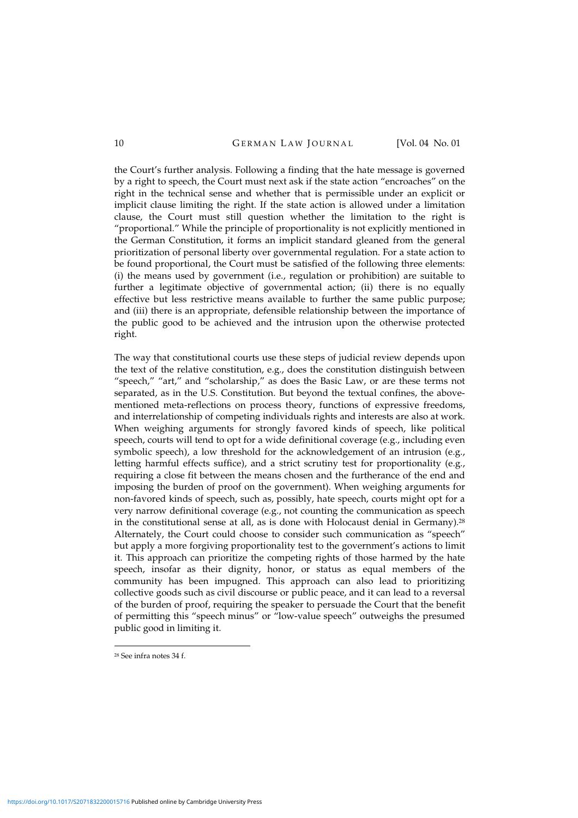the Court's further analysis. Following a finding that the hate message is governed by a right to speech, the Court must next ask if the state action "encroaches" on the right in the technical sense and whether that is permissible under an explicit or implicit clause limiting the right. If the state action is allowed under a limitation clause, the Court must still question whether the limitation to the right is "proportional." While the principle of proportionality is not explicitly mentioned in the German Constitution, it forms an implicit standard gleaned from the general prioritization of personal liberty over governmental regulation. For a state action to be found proportional, the Court must be satisfied of the following three elements: (i) the means used by government (i.e., regulation or prohibition) are suitable to further a legitimate objective of governmental action; (ii) there is no equally effective but less restrictive means available to further the same public purpose; and (iii) there is an appropriate, defensible relationship between the importance of the public good to be achieved and the intrusion upon the otherwise protected right.

The way that constitutional courts use these steps of judicial review depends upon the text of the relative constitution, e.g., does the constitution distinguish between "speech," "art," and "scholarship," as does the Basic Law, or are these terms not separated, as in the U.S. Constitution. But beyond the textual confines, the abovementioned meta-reflections on process theory, functions of expressive freedoms, and interrelationship of competing individuals rights and interests are also at work. When weighing arguments for strongly favored kinds of speech, like political speech, courts will tend to opt for a wide definitional coverage (e.g., including even symbolic speech), a low threshold for the acknowledgement of an intrusion (e.g., letting harmful effects suffice), and a strict scrutiny test for proportionality (e.g., requiring a close fit between the means chosen and the furtherance of the end and imposing the burden of proof on the government). When weighing arguments for non-favored kinds of speech, such as, possibly, hate speech, courts might opt for a very narrow definitional coverage (e.g., not counting the communication as speech in the constitutional sense at all, as is done with Holocaust denial in Germany). 28 Alternately, the Court could choose to consider such communication as "speech" but apply a more forgiving proportionality test to the government's actions to limit it. This approach can prioritize the competing rights of those harmed by the hate speech, insofar as their dignity, honor, or status as equal members of the community has been impugned. This approach can also lead to prioritizing collective goods such as civil discourse or public peace, and it can lead to a reversal of the burden of proof, requiring the speaker to persuade the Court that the benefit of permitting this "speech minus" or "low-value speech" outweighs the presumed public good in limiting it.

<sup>28</sup> See infra notes 34 f.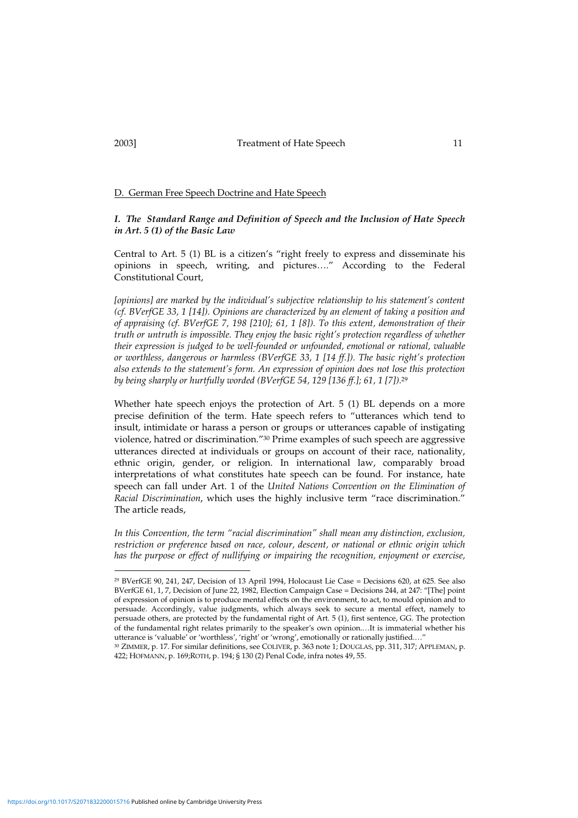### D. German Free Speech Doctrine and Hate Speech

### *I. The Standard Range and Definition of Speech and the Inclusion of Hate Speech in Art. 5 (1) of the Basic Law*

Central to Art. 5 (1) BL is a citizen's "right freely to express and disseminate his opinions in speech, writing, and pictures…." According to the Federal Constitutional Court,

*[opinions] are marked by the individual's subjective relationship to his statement's content (cf. BVerfGE 33, 1 [14]). Opinions are characterized by an element of taking a position and of appraising (cf. BVerfGE 7, 198 [210]; 61, 1 [8]). To this extent, demonstration of their truth or untruth is impossible. They enjoy the basic right's protection regardless of whether their expression is judged to be well-founded or unfounded, emotional or rational, valuable or worthless, dangerous or harmless (BVerfGE 33, 1 [14 ff.]). The basic right's protection also extends to the statement's form. An expression of opinion does not lose this protection by being sharply or hurtfully worded (BVerfGE 54, 129 [136 ff.]; 61, 1 [7]).* 29

Whether hate speech enjoys the protection of Art. 5 (1) BL depends on a more precise definition of the term. Hate speech refers to "utterances which tend to insult, intimidate or harass a person or groups or utterances capable of instigating violence, hatred or discrimination." <sup>30</sup> Prime examples of such speech are aggressive utterances directed at individuals or groups on account of their race, nationality, ethnic origin, gender, or religion. In international law, comparably broad interpretations of what constitutes hate speech can be found. For instance, hate speech can fall under Art. 1 of the *United Nations Convention on the Elimination of Racial Discrimination*, which uses the highly inclusive term "race discrimination." The article reads,

*In this Convention, the term "racial discrimination" shall mean any distinction, exclusion, restriction or preference based on race, colour, descent, or national or ethnic origin which has the purpose or effect of nullifying or impairing the recognition, enjoyment or exercise,*

<sup>29</sup> BVerfGE 90, 241, 247, Decision of 13 April 1994, Holocaust Lie Case = Decisions 620, at 625. See also BVerfGE 61, 1, 7, Decision of June 22, 1982, Election Campaign Case = Decisions 244, at 247: "[The] point of expression of opinion is to produce mental effects on the environment, to act, to mould opinion and to persuade. Accordingly, value judgments, which always seek to secure a mental effect, namely to persuade others, are protected by the fundamental right of Art. 5 (1), first sentence, GG. The protection of the fundamental right relates primarily to the speaker's own opinion.…It is immaterial whether his utterance is 'valuable' or 'worthless', 'right' or 'wrong', emotionally or rationally justified....'

<sup>30</sup> ZIMMER, p. 17. For similar definitions, see COLIVER, p. 363 note 1; DOUGLAS, pp. 311, 317; APPLEMAN, p. 422; HOFMANN, p. 169;ROTH, p. 194; § 130 (2) Penal Code, infra notes 49, 55.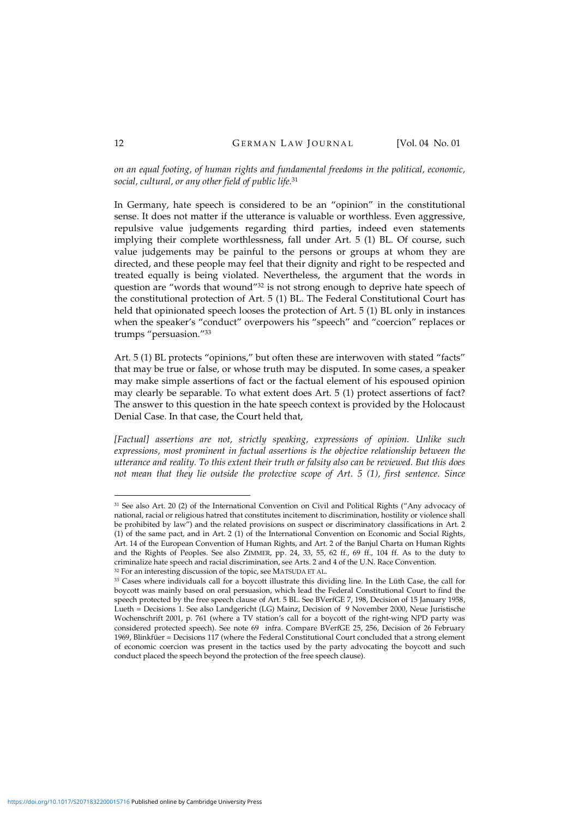*on an equal footing, of human rights and fundamental freedoms in the political, economic, social, cultural, or any other field of public life.* 31

In Germany, hate speech is considered to be an "opinion" in the constitutional sense. It does not matter if the utterance is valuable or worthless. Even aggressive, repulsive value judgements regarding third parties, indeed even statements implying their complete worthlessness, fall under Art. 5 (1) BL. Of course, such value judgements may be painful to the persons or groups at whom they are directed, and these people may feel that their dignity and right to be respected and treated equally is being violated. Nevertheless, the argument that the words in question are "words that wound"<sup>32</sup> is not strong enough to deprive hate speech of the constitutional protection of Art. 5 (1) BL. The Federal Constitutional Court has held that opinionated speech looses the protection of Art. 5 (1) BL only in instances when the speaker's "conduct" overpowers his "speech" and "coercion" replaces or trumps "persuasion."<sup>33</sup>

Art. 5 (1) BL protects "opinions," but often these are interwoven with stated "facts" that may be true or false, or whose truth may be disputed. In some cases, a speaker may make simple assertions of fact or the factual element of his espoused opinion may clearly be separable. To what extent does Art. 5 (1) protect assertions of fact? The answer to this question in the hate speech context is provided by the Holocaust Denial Case. In that case, the Court held that,

*[Factual] assertions are not, strictly speaking, expressions of opinion. Unlike such expressions, most prominent in factual assertions is the objective relationship between the utterance and reality. To this extent their truth or falsity also can be reviewed. But this does not mean that they lie outside the protective scope of Art. 5 (1), first sentence. Since*

<sup>31</sup> See also Art. 20 (2) of the International Convention on Civil and Political Rights ("Any advocacy of national, racial or religious hatred that constitutes incitement to discrimination, hostility or violence shall be prohibited by law") and the related provisions on suspect or discriminatory classifications in Art. 2 (1) of the same pact, and in Art. 2 (1) of the International Convention on Economic and Social Rights, Art. 14 of the European Convention of Human Rights, and Art. 2 of the Banjul Charta on Human Rights and the Rights of Peoples. See also ZIMMER, pp. 24, 33, 55, 62 ff., 69 ff., 104 ff. As to the duty to criminalize hate speech and racial discrimination, see Arts. 2 and 4 of the U.N. Race Convention. <sup>32</sup> For an interesting discussion of the topic, see MATSUDA ET AL.

<sup>33</sup> Cases where individuals call for a boycott illustrate this dividing line. In the Lüth Case, the call for boycott was mainly based on oral persuasion, which lead the Federal Constitutional Court to find the speech protected by the free speech clause of Art. 5 BL. See BVerfGE 7, 198, Decision of 15 January 1958, Lueth = Decisions 1. See also Landgericht (LG) Mainz, Decision of 9 November 2000, Neue Juristische Wochenschrift 2001, p. 761 (where a TV station's call for a boycott of the right-wing NPD party was considered protected speech). See note 69 infra. Compare BVerfGE 25, 256, Decision of 26 February 1969, Blinkfüer = Decisions 117 (where the Federal Constitutional Court concluded that a strong element of economic coercion was present in the tactics used by the party advocating the boycott and such conduct placed the speech beyond the protection of the free speech clause).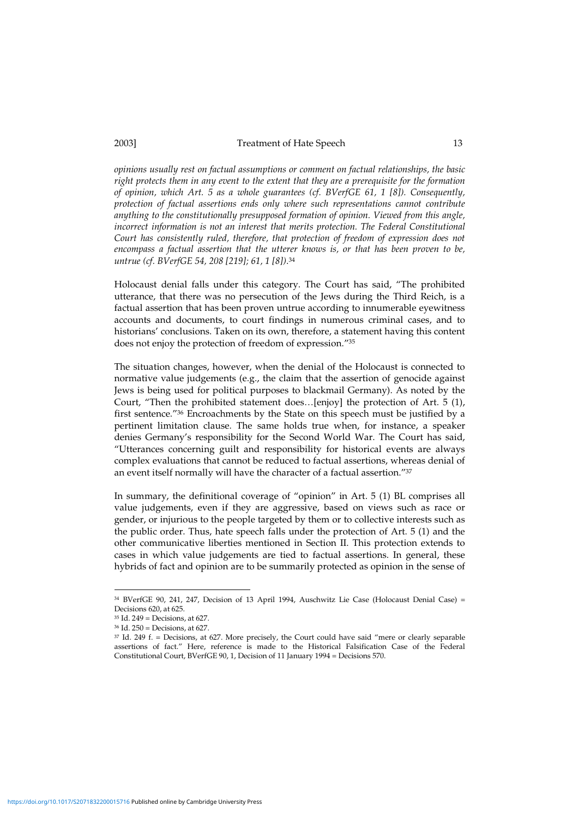*opinions usually rest on factual assumptions or comment on factual relationships, the basic right protects them in any event to the extent that they are a prerequisite for the formation of opinion, which Art. 5 as a whole guarantees (cf. BVerfGE 61, 1 [8]). Consequently, protection of factual assertions ends only where such representations cannot contribute anything to the constitutionally presupposed formation of opinion. Viewed from this angle, incorrect information is not an interest that merits protection. The Federal Constitutional Court has consistently ruled, therefore, that protection of freedom of expression does not encompass a factual assertion that the utterer knows is, or that has been proven to be, untrue (cf. BVerfGE 54, 208 [219]; 61, 1 [8])*. 34

Holocaust denial falls under this category. The Court has said, "The prohibited utterance, that there was no persecution of the Jews during the Third Reich, is a factual assertion that has been proven untrue according to innumerable eyewitness accounts and documents, to court findings in numerous criminal cases, and to historians' conclusions. Taken on its own, therefore, a statement having this content does not enjoy the protection of freedom of expression."<sup>35</sup>

The situation changes, however, when the denial of the Holocaust is connected to normative value judgements (e.g., the claim that the assertion of genocide against Jews is being used for political purposes to blackmail Germany). As noted by the Court, "Then the prohibited statement does…[enjoy] the protection of Art. 5 (1), first sentence." <sup>36</sup> Encroachments by the State on this speech must be justified by a pertinent limitation clause. The same holds true when, for instance, a speaker denies Germany's responsibility for the Second World War. The Court has said, "Utterances concerning guilt and responsibility for historical events are always complex evaluations that cannot be reduced to factual assertions, whereas denial of an event itself normally will have the character of a factual assertion."<sup>37</sup>

In summary, the definitional coverage of "opinion" in Art. 5 (1) BL comprises all value judgements, even if they are aggressive, based on views such as race or gender, or injurious to the people targeted by them or to collective interests such as the public order. Thus, hate speech falls under the protection of Art. 5 (1) and the other communicative liberties mentioned in Section II. This protection extends to cases in which value judgements are tied to factual assertions. In general, these hybrids of fact and opinion are to be summarily protected as opinion in the sense of

<sup>34</sup> BVerfGE 90, 241, 247, Decision of 13 April 1994, Auschwitz Lie Case (Holocaust Denial Case) = Decisions 620, at 625.

<sup>35</sup> Id. 249 = Decisions, at 627.

<sup>36</sup> Id. 250 = Decisions, at 627.

<sup>37</sup> Id. 249 f. = Decisions, at 627. More precisely, the Court could have said "mere or clearly separable assertions of fact." Here, reference is made to the Historical Falsification Case of the Federal Constitutional Court, BVerfGE 90, 1, Decision of 11 January 1994 = Decisions 570.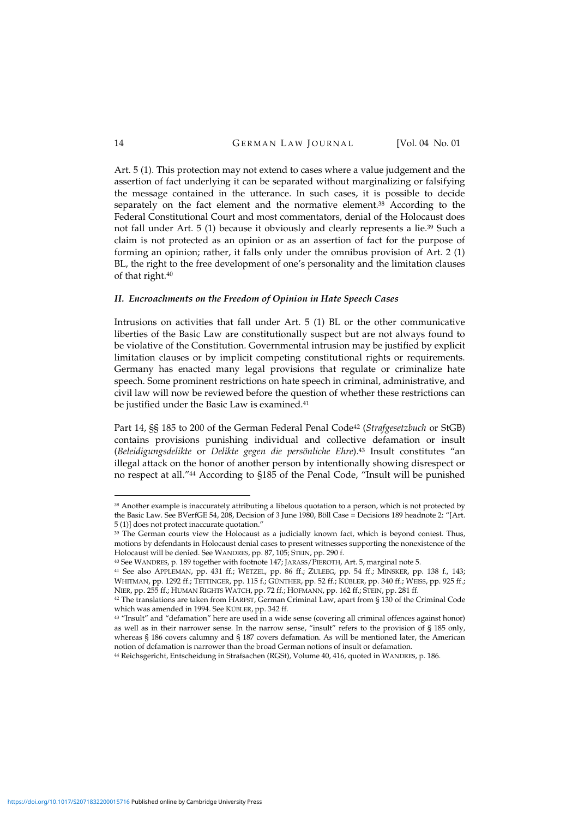Art. 5 (1). This protection may not extend to cases where a value judgement and the assertion of fact underlying it can be separated without marginalizing or falsifying the message contained in the utterance. In such cases, it is possible to decide separately on the fact element and the normative element. <sup>38</sup> According to the Federal Constitutional Court and most commentators, denial of the Holocaust does not fall under Art. 5 (1) because it obviously and clearly represents a lie. <sup>39</sup> Such a claim is not protected as an opinion or as an assertion of fact for the purpose of forming an opinion; rather, it falls only under the omnibus provision of Art. 2 (1) BL, the right to the free development of one's personality and the limitation clauses of that right. 40

#### *II. Encroachments on the Freedom of Opinion in Hate Speech Cases*

Intrusions on activities that fall under Art. 5 (1) BL or the other communicative liberties of the Basic Law are constitutionally suspect but are not always found to be violative of the Constitution. Governmental intrusion may be justified by explicit limitation clauses or by implicit competing constitutional rights or requirements. Germany has enacted many legal provisions that regulate or criminalize hate speech. Some prominent restrictions on hate speech in criminal, administrative, and civil law will now be reviewed before the question of whether these restrictions can be justified under the Basic Law is examined. 41

Part 14, §§ 185 to 200 of the German Federal Penal Code <sup>42</sup> (*Strafgesetzbuch* or StGB) contains provisions punishing individual and collective defamation or insult (*Beleidigungsdelikte* or *Delikte gegen die persönliche Ehre*). <sup>43</sup> Insult constitutes "an illegal attack on the honor of another person by intentionally showing disrespect or no respect at all."<sup>44</sup> According to §185 of the Penal Code, "Insult will be punished

<sup>&</sup>lt;sup>38</sup> Another example is inaccurately attributing a libelous quotation to a person, which is not protected by the Basic Law. See BVerfGE 54, 208, Decision of 3 June 1980, Böll Case = Decisions 189 headnote 2: "[Art. 5 (1)] does not protect inaccurate quotation."

<sup>&</sup>lt;sup>39</sup> The German courts view the Holocaust as a judicially known fact, which is beyond contest. Thus, motions by defendants in Holocaust denial cases to present witnesses supporting the nonexistence of the Holocaust will be denied. See WANDRES, pp. 87, 105; STEIN, pp. 290 f.

<sup>40</sup> See WANDRES, p. 189 together with footnote 147; JARASS/PIEROTH, Art. 5, marginal note 5.

<sup>41</sup> See also APPLEMAN, pp. 431 ff.; WETZEL, pp. 86 ff.; ZULEEG, pp. 54 ff.; MINSKER, pp. 138 f., 143; WHITMAN, pp. 1292 ff.; TETTINGER, pp. 115 f.; GÜNTHER, pp. 52 ff.; KÜBLER, pp. 340 ff.; WEISS, pp. 925 ff.; NIER, pp. 255 ff.; HUMAN RIGHTS WATCH, pp. 72 ff.; HOFMANN, pp. 162 ff.; STEIN, pp. 281 ff.

<sup>42</sup> The translations are taken from HARFST, German Criminal Law, apart from § 130 of the Criminal Code which was amended in 1994. See KÜBLER, pp. 342 ff.

<sup>43</sup> "Insult" and "defamation" here are used in a wide sense (covering all criminal offences against honor) as well as in their narrower sense. In the narrow sense, "insult" refers to the provision of § 185 only, whereas § 186 covers calumny and § 187 covers defamation. As will be mentioned later, the American notion of defamation is narrower than the broad German notions of insult or defamation.

<sup>44</sup> Reichsgericht, Entscheidung in Strafsachen (RGSt), Volume 40, 416, quoted in WANDRES, p. 186.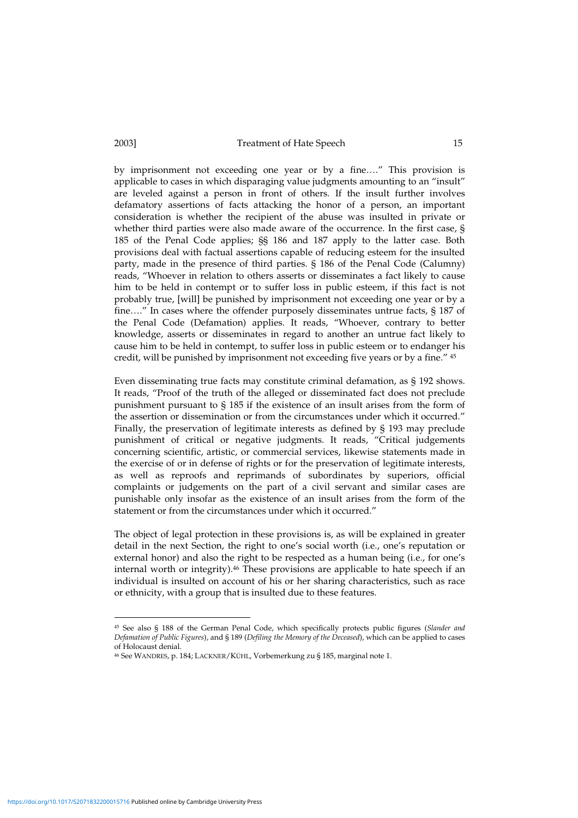by imprisonment not exceeding one year or by a fine…." This provision is applicable to cases in which disparaging value judgments amounting to an "insult" are leveled against a person in front of others. If the insult further involves defamatory assertions of facts attacking the honor of a person, an important consideration is whether the recipient of the abuse was insulted in private or whether third parties were also made aware of the occurrence. In the first case, § 185 of the Penal Code applies; §§ 186 and 187 apply to the latter case. Both provisions deal with factual assertions capable of reducing esteem for the insulted party, made in the presence of third parties. § 186 of the Penal Code (Calumny) reads, "Whoever in relation to others asserts or disseminates a fact likely to cause him to be held in contempt or to suffer loss in public esteem, if this fact is not probably true, [will] be punished by imprisonment not exceeding one year or by a fine…." In cases where the offender purposely disseminates untrue facts, § 187 of the Penal Code (Defamation) applies. It reads, "Whoever, contrary to better knowledge, asserts or disseminates in regard to another an untrue fact likely to cause him to be held in contempt, to suffer loss in public esteem or to endanger his credit, will be punished by imprisonment not exceeding five years or by a fine." <sup>45</sup>

Even disseminating true facts may constitute criminal defamation, as § 192 shows. It reads, "Proof of the truth of the alleged or disseminated fact does not preclude punishment pursuant to § 185 if the existence of an insult arises from the form of the assertion or dissemination or from the circumstances under which it occurred." Finally, the preservation of legitimate interests as defined by § 193 may preclude punishment of critical or negative judgments. It reads, "Critical judgements concerning scientific, artistic, or commercial services, likewise statements made in the exercise of or in defense of rights or for the preservation of legitimate interests, as well as reproofs and reprimands of subordinates by superiors, official complaints or judgements on the part of a civil servant and similar cases are punishable only insofar as the existence of an insult arises from the form of the statement or from the circumstances under which it occurred."

The object of legal protection in these provisions is, as will be explained in greater detail in the next Section, the right to one's social worth (i.e., one's reputation or external honor) and also the right to be respected as a human being (i.e., for one's internal worth or integrity). <sup>46</sup> These provisions are applicable to hate speech if an individual is insulted on account of his or her sharing characteristics, such as race or ethnicity, with a group that is insulted due to these features.

<sup>45</sup> See also § 188 of the German Penal Code, which specifically protects public figures (*Slander and Defamation of Public Figures*), and § 189 (*Defiling the Memory of the Deceased*), which can be applied to cases of Holocaust denial.

<sup>46</sup> See WANDRES, p. 184; LACKNER/KÜHL, Vorbemerkung zu § 185, marginal note 1.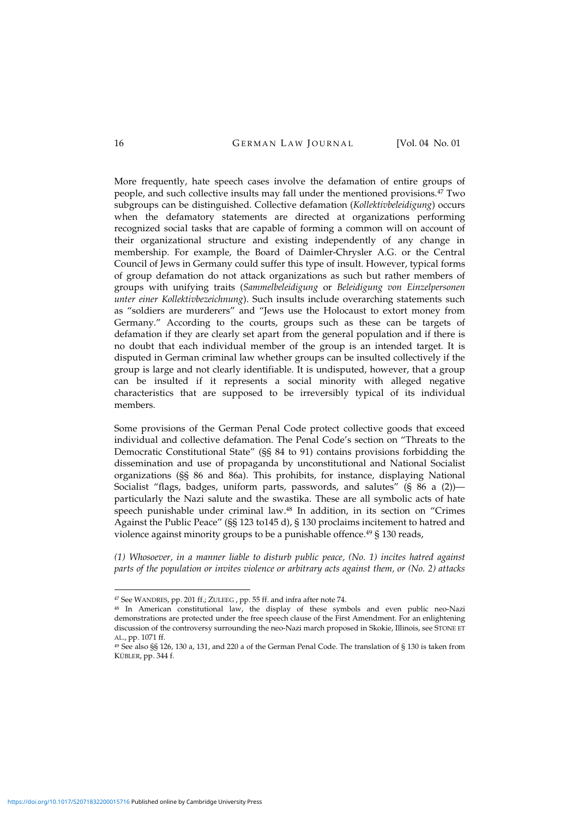More frequently, hate speech cases involve the defamation of entire groups of people, and such collective insults may fall under the mentioned provisions. <sup>47</sup> Two subgroups can be distinguished. Collective defamation (*Kollektivbeleidigung*) occurs when the defamatory statements are directed at organizations performing recognized social tasks that are capable of forming a common will on account of their organizational structure and existing independently of any change in membership. For example, the Board of Daimler-Chrysler A.G. or the Central Council of Jews in Germany could suffer this type of insult. However, typical forms of group defamation do not attack organizations as such but rather members of groups with unifying traits (*Sammelbeleidigung* or *Beleidigung von Einzelpersonen unter einer Kollektivbezeichnung*). Such insults include overarching statements such as "soldiers are murderers" and "Jews use the Holocaust to extort money from Germany." According to the courts, groups such as these can be targets of defamation if they are clearly set apart from the general population and if there is no doubt that each individual member of the group is an intended target. It is disputed in German criminal law whether groups can be insulted collectively if the group is large and not clearly identifiable. It is undisputed, however, that a group can be insulted if it represents a social minority with alleged negative characteristics that are supposed to be irreversibly typical of its individual members.

Some provisions of the German Penal Code protect collective goods that exceed individual and collective defamation. The Penal Code's section on "Threats to the Democratic Constitutional State" (§§ 84 to 91) contains provisions forbidding the dissemination and use of propaganda by unconstitutional and National Socialist organizations (§§ 86 and 86a). This prohibits, for instance, displaying National Socialist "flags, badges, uniform parts, passwords, and salutes" (§ 86 a (2)) particularly the Nazi salute and the swastika. These are all symbolic acts of hate speech punishable under criminal law. <sup>48</sup> In addition, in its section on "Crimes Against the Public Peace" (§§ 123 to145 d), § 130 proclaims incitement to hatred and violence against minority groups to be a punishable offence. <sup>49</sup> § 130 reads,

*(1) Whosoever, in a manner liable to disturb public peace, (No. 1) incites hatred against parts of the population or invites violence or arbitrary acts against them, or (No. 2) attacks*

<sup>47</sup> See WANDRES, pp. 201 ff.; ZULEEG , pp. 55 ff. and infra after note 74.

<sup>48</sup> In American constitutional law, the display of these symbols and even public neo-Nazi demonstrations are protected under the free speech clause of the First Amendment. For an enlightening discussion of the controversy surrounding the neo-Nazi march proposed in Skokie, Illinois, see STONE ET AL., pp. 1071 ff.

<sup>49</sup> See also §§ 126, 130 a, 131, and 220 a of the German Penal Code. The translation of § 130 is taken from KÜBLER, pp. 344 f.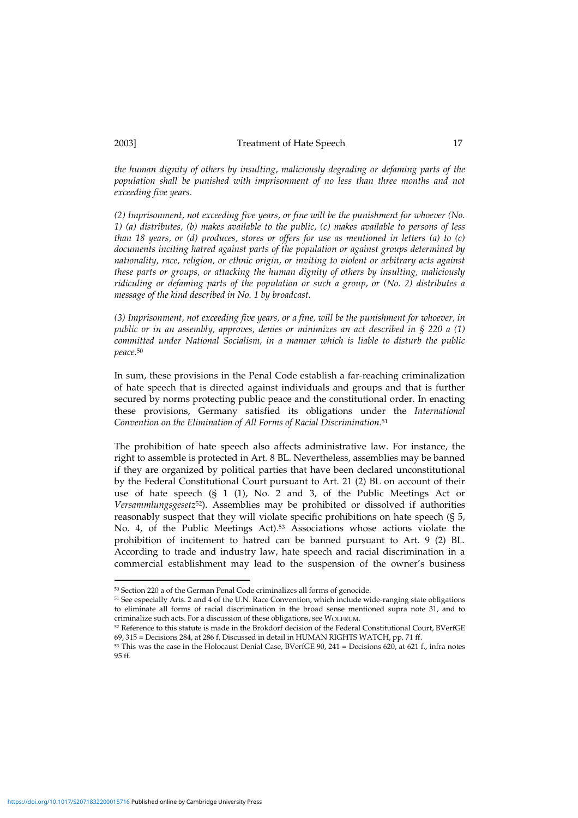*the human dignity of others by insulting, maliciously degrading or defaming parts of the population shall be punished with imprisonment of no less than three months and not exceeding five years.*

*(2) Imprisonment, not exceeding five years, or fine will be the punishment for whoever (No. 1) (a) distributes, (b) makes available to the public, (c) makes available to persons of less than 18 years, or (d) produces, stores or offers for use as mentioned in letters (a) to (c) documents inciting hatred against parts of the population or against groups determined by nationality, race, religion, or ethnic origin, or inviting to violent or arbitrary acts against these parts or groups, or attacking the human dignity of others by insulting, maliciously ridiculing or defaming parts of the population or such a group, or (No. 2) distributes a message of the kind described in No. 1 by broadcast.*

*(3) Imprisonment, not exceeding five years, or a fine, will be the punishment for whoever, in public or in an assembly, approves, denies or minimizes an act described in § 220 a (1) committed under National Socialism, in a manner which is liable to disturb the public peace.* 50

In sum, these provisions in the Penal Code establish a far-reaching criminalization of hate speech that is directed against individuals and groups and that is further secured by norms protecting public peace and the constitutional order. In enacting these provisions, Germany satisfied its obligations under the *International Convention on the Elimination of All Forms of Racial Discrimination*. 51

The prohibition of hate speech also affects administrative law. For instance, the right to assemble is protected in Art. 8 BL. Nevertheless, assemblies may be banned if they are organized by political parties that have been declared unconstitutional by the Federal Constitutional Court pursuant to Art. 21 (2) BL on account of their use of hate speech (§ 1 (1), No. 2 and 3, of the Public Meetings Act or *Versammlungsgesetz* <sup>52</sup>). Assemblies may be prohibited or dissolved if authorities reasonably suspect that they will violate specific prohibitions on hate speech (§ 5, No. 4, of the Public Meetings Act). <sup>53</sup> Associations whose actions violate the prohibition of incitement to hatred can be banned pursuant to Art. 9 (2) BL. According to trade and industry law, hate speech and racial discrimination in a commercial establishment may lead to the suspension of the owner's business

<sup>50</sup> Section 220 a of the German Penal Code criminalizes all forms of genocide.

<sup>51</sup> See especially Arts. 2 and 4 of the U.N. Race Convention, which include wide-ranging state obligations to eliminate all forms of racial discrimination in the broad sense mentioned supra note 31, and to criminalize such acts. For a discussion of these obligations, see WOLFRUM.

<sup>52</sup> Reference to this statute is made in the Brokdorf decision of the Federal Constitutional Court, BVerfGE 69, 315 = Decisions 284, at 286 f. Discussed in detail in HUMAN RIGHTS WATCH, pp. 71 ff.

<sup>53</sup> This was the case in the Holocaust Denial Case, BVerfGE 90, 241 = Decisions 620, at 621 f., infra notes 95 ff.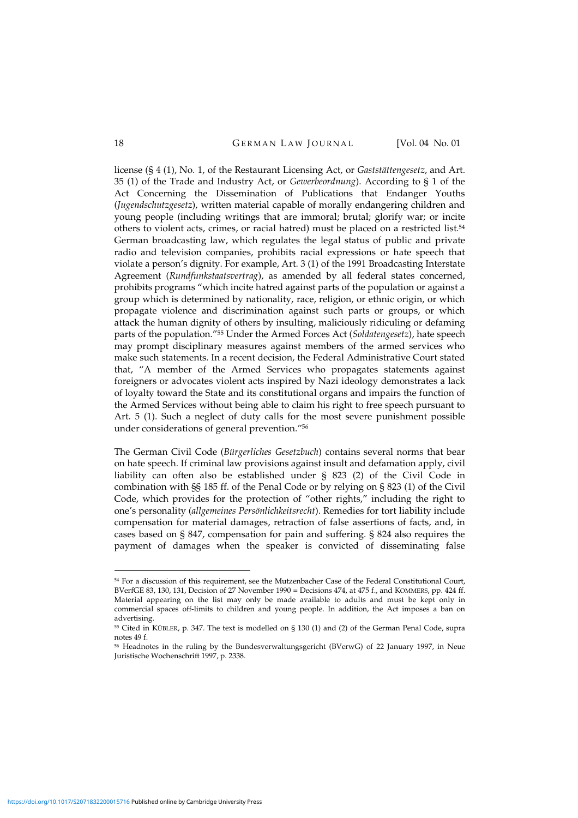license (§ 4 (1), No. 1, of the Restaurant Licensing Act, or *Gaststättengesetz*, and Art. 35 (1) of the Trade and Industry Act, or *Gewerbeordnung*). According to § 1 of the Act Concerning the Dissemination of Publications that Endanger Youths (*Jugendschutzgesetz*), written material capable of morally endangering children and young people (including writings that are immoral; brutal; glorify war; or incite others to violent acts, crimes, or racial hatred) must be placed on a restricted list. 54 German broadcasting law, which regulates the legal status of public and private radio and television companies, prohibits racial expressions or hate speech that violate a person's dignity. For example, Art. 3 (1) of the 1991 Broadcasting Interstate Agreement (*Rundfunkstaatsvertrag*), as amended by all federal states concerned, prohibits programs "which incite hatred against parts of the population or against a group which is determined by nationality, race, religion, or ethnic origin, or which propagate violence and discrimination against such parts or groups, or which attack the human dignity of others by insulting, maliciously ridiculing or defaming parts of the population."<sup>55</sup> Under the Armed Forces Act (*Soldatengesetz*), hate speech may prompt disciplinary measures against members of the armed services who make such statements. In a recent decision, the Federal Administrative Court stated that, "A member of the Armed Services who propagates statements against foreigners or advocates violent acts inspired by Nazi ideology demonstrates a lack of loyalty toward the State and its constitutional organs and impairs the function of the Armed Services without being able to claim his right to free speech pursuant to Art. 5 (1). Such a neglect of duty calls for the most severe punishment possible under considerations of general prevention."<sup>56</sup>

The German Civil Code (*Bürgerliches Gesetzbuch*) contains several norms that bear on hate speech. If criminal law provisions against insult and defamation apply, civil liability can often also be established under § 823 (2) of the Civil Code in combination with §§ 185 ff. of the Penal Code or by relying on § 823 (1) of the Civil Code, which provides for the protection of "other rights," including the right to one's personality (*allgemeines Persönlichkeitsrecht*). Remedies for tort liability include compensation for material damages, retraction of false assertions of facts, and, in cases based on § 847, compensation for pain and suffering. § 824 also requires the payment of damages when the speaker is convicted of disseminating false

<sup>54</sup> For a discussion of this requirement, see the Mutzenbacher Case of the Federal Constitutional Court, BVerfGE 83, 130, 131, Decision of 27 November 1990 = Decisions 474, at 475 f., and KOMMERS, pp. 424 ff. Material appearing on the list may only be made available to adults and must be kept only in commercial spaces off-limits to children and young people. In addition, the Act imposes a ban on advertising.

<sup>55</sup> Cited in KÜBLER, p. 347. The text is modelled on § 130 (1) and (2) of the German Penal Code, supra notes 49 f.

<sup>56</sup> Headnotes in the ruling by the Bundesverwaltungsgericht (BVerwG) of 22 January 1997, in Neue Juristische Wochenschrift 1997, p. 2338.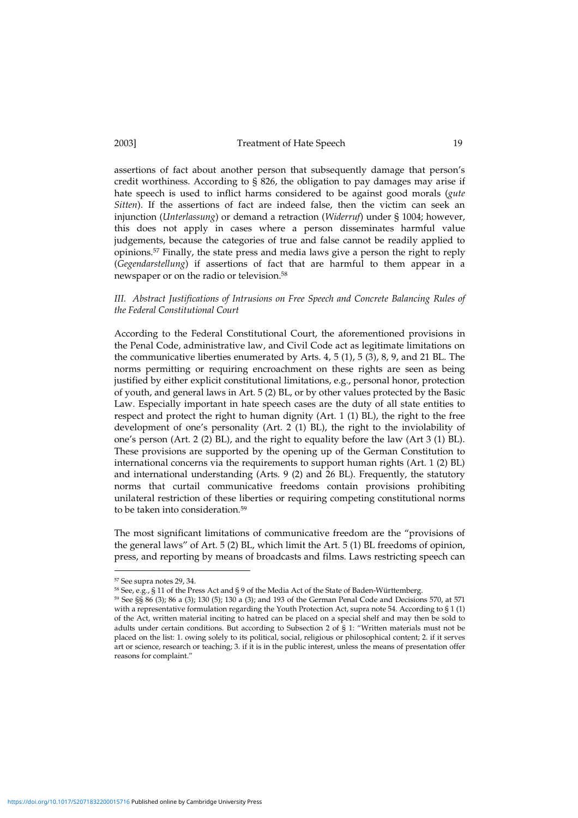assertions of fact about another person that subsequently damage that person's credit worthiness. According to § 826, the obligation to pay damages may arise if hate speech is used to inflict harms considered to be against good morals (*gute Sitten*). If the assertions of fact are indeed false, then the victim can seek an injunction (*Unterlassung*) or demand a retraction (*Widerruf*) under § 1004; however, this does not apply in cases where a person disseminates harmful value judgements, because the categories of true and false cannot be readily applied to opinions. <sup>57</sup> Finally, the state press and media laws give a person the right to reply (*Gegendarstellung*) if assertions of fact that are harmful to them appear in a newspaper or on the radio or television. 58

### *III. Abstract Justifications of Intrusions on Free Speech and Concrete Balancing Rules of the Federal Constitutional Court*

According to the Federal Constitutional Court, the aforementioned provisions in the Penal Code, administrative law, and Civil Code act as legitimate limitations on the communicative liberties enumerated by Arts. 4, 5 (1), 5 (3), 8, 9, and 21 BL. The norms permitting or requiring encroachment on these rights are seen as being justified by either explicit constitutional limitations, e.g., personal honor, protection of youth, and general laws in Art. 5 (2) BL, or by other values protected by the Basic Law. Especially important in hate speech cases are the duty of all state entities to respect and protect the right to human dignity (Art. 1 (1) BL), the right to the free development of one's personality (Art. 2 (1) BL), the right to the inviolability of one's person (Art. 2 (2) BL), and the right to equality before the law (Art 3 (1) BL). These provisions are supported by the opening up of the German Constitution to international concerns via the requirements to support human rights (Art. 1 (2) BL) and international understanding (Arts. 9 (2) and 26 BL). Frequently, the statutory norms that curtail communicative freedoms contain provisions prohibiting unilateral restriction of these liberties or requiring competing constitutional norms to be taken into consideration. 59

The most significant limitations of communicative freedom are the "provisions of the general laws" of Art. 5 (2) BL, which limit the Art. 5 (1) BL freedoms of opinion, press, and reporting by means of broadcasts and films. Laws restricting speech can

<sup>57</sup> See supra notes 29, 34.

<sup>58</sup> See, e.g., § 11 of the Press Act and § 9 of the Media Act of the State of Baden-Württemberg.

<sup>59</sup> See §§ 86 (3); 86 a (3); 130 (5); 130 a (3); and 193 of the German Penal Code and Decisions 570, at 571 with a representative formulation regarding the Youth Protection Act, supra note 54. According to § 1 (1) of the Act, written material inciting to hatred can be placed on a special shelf and may then be sold to adults under certain conditions. But according to Subsection 2 of § 1: "Written materials must not be placed on the list: 1. owing solely to its political, social, religious or philosophical content; 2. if it serves art or science, research or teaching; 3. if it is in the public interest, unless the means of presentation offer reasons for complaint."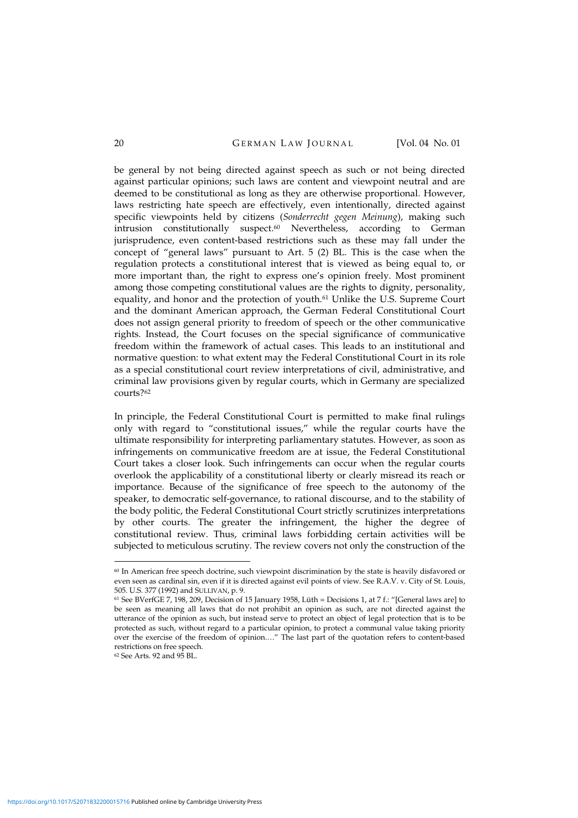be general by not being directed against speech as such or not being directed against particular opinions; such laws are content and viewpoint neutral and are deemed to be constitutional as long as they are otherwise proportional. However, laws restricting hate speech are effectively, even intentionally, directed against specific viewpoints held by citizens (*Sonderrecht gegen Meinung*), making such intrusion constitutionally suspect. <sup>60</sup> Nevertheless, according to German jurisprudence, even content-based restrictions such as these may fall under the concept of "general laws" pursuant to Art. 5 (2) BL. This is the case when the regulation protects a constitutional interest that is viewed as being equal to, or more important than, the right to express one's opinion freely. Most prominent among those competing constitutional values are the rights to dignity, personality, equality, and honor and the protection of youth.<sup>61</sup> Unlike the U.S. Supreme Court and the dominant American approach, the German Federal Constitutional Court does not assign general priority to freedom of speech or the other communicative rights. Instead, the Court focuses on the special significance of communicative freedom within the framework of actual cases. This leads to an institutional and normative question: to what extent may the Federal Constitutional Court in its role as a special constitutional court review interpretations of civil, administrative, and criminal law provisions given by regular courts, which in Germany are specialized courts? 62

In principle, the Federal Constitutional Court is permitted to make final rulings only with regard to "constitutional issues," while the regular courts have the ultimate responsibility for interpreting parliamentary statutes. However, as soon as infringements on communicative freedom are at issue, the Federal Constitutional Court takes a closer look. Such infringements can occur when the regular courts overlook the applicability of a constitutional liberty or clearly misread its reach or importance. Because of the significance of free speech to the autonomy of the speaker, to democratic self-governance, to rational discourse, and to the stability of the body politic, the Federal Constitutional Court strictly scrutinizes interpretations by other courts. The greater the infringement, the higher the degree of constitutional review. Thus, criminal laws forbidding certain activities will be subjected to meticulous scrutiny. The review covers not only the construction of the

<sup>62</sup> See Arts. 92 and 95 BL.

<sup>60</sup> In American free speech doctrine, such viewpoint discrimination by the state is heavily disfavored or even seen as cardinal sin, even if it is directed against evil points of view. See R.A.V. v. City of St. Louis, 505. U.S. 377 (1992) and SULLIVAN, p. 9.

<sup>61</sup> See BVerfGE 7, 198, 209, Decision of 15 January 1958, Lüth = Decisions 1, at 7 f.: "[General laws are] to be seen as meaning all laws that do not prohibit an opinion as such, are not directed against the utterance of the opinion as such, but instead serve to protect an object of legal protection that is to be protected as such, without regard to a particular opinion, to protect a communal value taking priority over the exercise of the freedom of opinion.…" The last part of the quotation refers to content-based restrictions on free speech.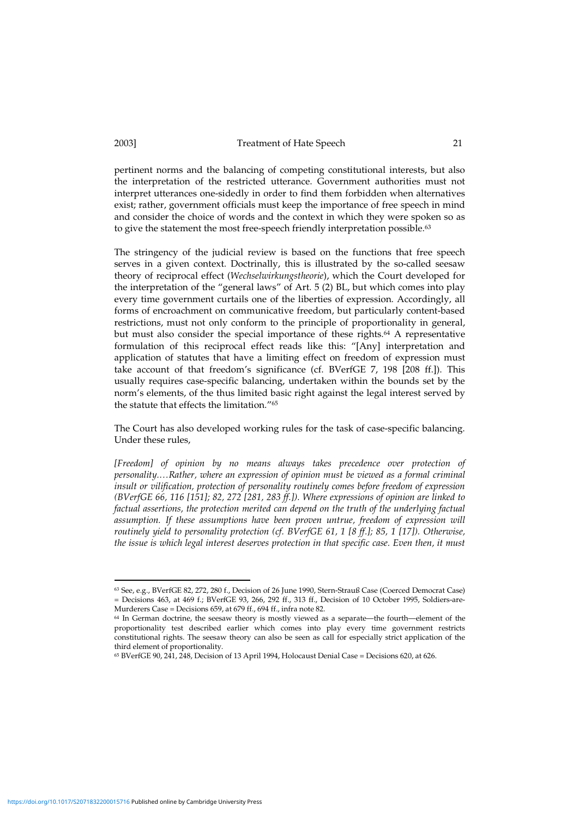pertinent norms and the balancing of competing constitutional interests, but also the interpretation of the restricted utterance. Government authorities must not interpret utterances one-sidedly in order to find them forbidden when alternatives exist; rather, government officials must keep the importance of free speech in mind and consider the choice of words and the context in which they were spoken so as to give the statement the most free-speech friendly interpretation possible. 63

The stringency of the judicial review is based on the functions that free speech serves in a given context. Doctrinally, this is illustrated by the so-called seesaw theory of reciprocal effect (*Wechselwirkungstheorie*), which the Court developed for the interpretation of the "general laws" of Art. 5 (2) BL, but which comes into play every time government curtails one of the liberties of expression. Accordingly, all forms of encroachment on communicative freedom, but particularly content-based restrictions, must not only conform to the principle of proportionality in general, but must also consider the special importance of these rights. <sup>64</sup> A representative formulation of this reciprocal effect reads like this: "[Any] interpretation and application of statutes that have a limiting effect on freedom of expression must take account of that freedom's significance (cf. BVerfGE 7, 198 [208 ff.]). This usually requires case-specific balancing, undertaken within the bounds set by the norm's elements, of the thus limited basic right against the legal interest served by the statute that effects the limitation." 65

The Court has also developed working rules for the task of case-specific balancing. Under these rules,

*[Freedom] of opinion by no means always takes precedence over protection of personality.…Rather, where an expression of opinion must be viewed as a formal criminal insult or vilification, protection of personality routinely comes before freedom of expression (BVerfGE 66, 116 [151]; 82, 272 [281, 283 ff.]). Where expressions of opinion are linked to factual assertions, the protection merited can depend on the truth of the underlying factual assumption. If these assumptions have been proven untrue, freedom of expression will routinely yield to personality protection (cf. BVerfGE 61, 1 [8 ff.]; 85, 1 [17]). Otherwise, the issue is which legal interest deserves protection in that specific case. Even then, it must*

<sup>63</sup> See, e.g., BVerfGE 82, 272, 280 f., Decision of 26 June 1990, Stern-Strauß Case (Coerced Democrat Case) = Decisions 463, at 469 f.; BVerfGE 93, 266, 292 ff., 313 ff., Decision of 10 October 1995, Soldiers-are-Murderers Case = Decisions 659, at 679 ff., 694 ff., infra note 82.

<sup>64</sup> In German doctrine, the seesaw theory is mostly viewed as a separate—the fourth—element of the proportionality test described earlier which comes into play every time government restricts constitutional rights. The seesaw theory can also be seen as call for especially strict application of the third element of proportionality.

<sup>65</sup> BVerfGE 90, 241, 248, Decision of 13 April 1994, Holocaust Denial Case = Decisions 620, at 626.